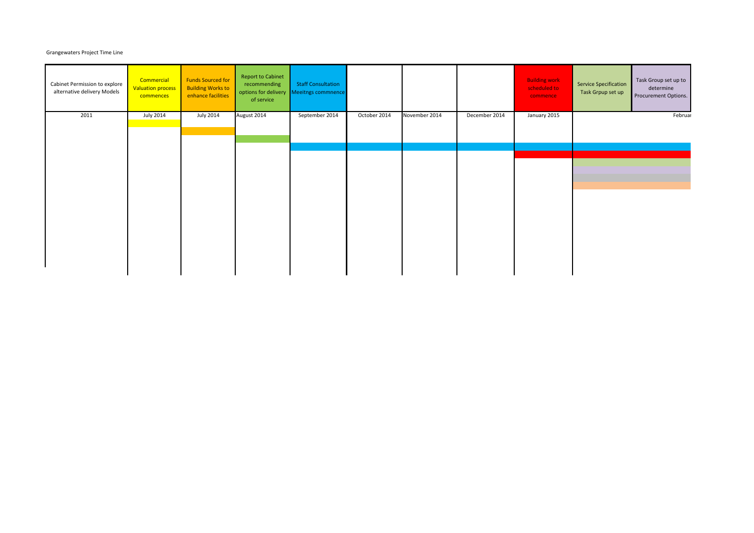## Grangewaters Project Time Line

| Cabinet Permission to explore<br>alternative delivery Models | Commercial<br><b>Valuation process</b><br>commences | <b>Funds Sourced for</b><br><b>Building Works to</b><br>enhance facilities | <b>Report to Cabinet</b><br>recommending<br>options for delivery<br>of service | <b>Staff Consultation</b><br>Meeitngs commnence |              |               |               | <b>Building work</b><br>scheduled to<br>commence | Service Specification<br>Task Grpup set up | Task Group set up to<br>determine<br>Procurement Options. |
|--------------------------------------------------------------|-----------------------------------------------------|----------------------------------------------------------------------------|--------------------------------------------------------------------------------|-------------------------------------------------|--------------|---------------|---------------|--------------------------------------------------|--------------------------------------------|-----------------------------------------------------------|
| 2011                                                         | <b>July 2014</b>                                    | <b>July 2014</b>                                                           | August 2014                                                                    | September 2014                                  | October 2014 | November 2014 | December 2014 | January 2015                                     |                                            | Februar                                                   |
|                                                              |                                                     |                                                                            |                                                                                |                                                 |              |               |               |                                                  |                                            |                                                           |
|                                                              |                                                     |                                                                            |                                                                                |                                                 |              |               |               |                                                  |                                            |                                                           |
|                                                              |                                                     |                                                                            |                                                                                |                                                 |              |               |               |                                                  |                                            |                                                           |
|                                                              |                                                     |                                                                            |                                                                                |                                                 |              |               |               |                                                  |                                            |                                                           |
|                                                              |                                                     |                                                                            |                                                                                |                                                 |              |               |               |                                                  |                                            |                                                           |
|                                                              |                                                     |                                                                            |                                                                                |                                                 |              |               |               |                                                  |                                            |                                                           |
|                                                              |                                                     |                                                                            |                                                                                |                                                 |              |               |               |                                                  |                                            |                                                           |
|                                                              |                                                     |                                                                            |                                                                                |                                                 |              |               |               |                                                  |                                            |                                                           |
|                                                              |                                                     |                                                                            |                                                                                |                                                 |              |               |               |                                                  |                                            |                                                           |
|                                                              |                                                     |                                                                            |                                                                                |                                                 |              |               |               |                                                  |                                            |                                                           |
|                                                              |                                                     |                                                                            |                                                                                |                                                 |              |               |               |                                                  |                                            |                                                           |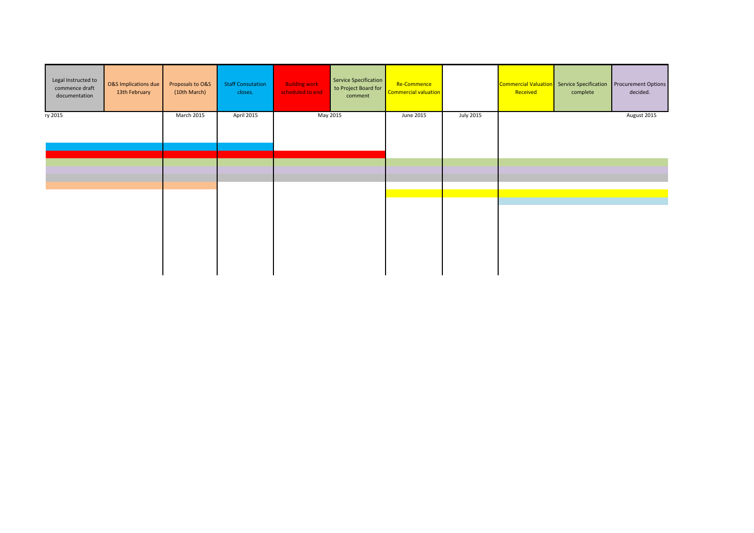| Legal Instructed to<br>commence draft<br>documentation | O&S Implications due<br>13th February | Proposals to O&S<br>(10th March) | <b>Staff Consutation</b><br>closes. | <b>Building work</b><br>scheduled to end | Service Specification<br>to Project Board for<br>comment | Re-Commence<br><b>Commercial valuation</b> |                  | Received | Commercial Valuation Service Specification<br>complete | <b>Procurement Options</b><br>decided. |
|--------------------------------------------------------|---------------------------------------|----------------------------------|-------------------------------------|------------------------------------------|----------------------------------------------------------|--------------------------------------------|------------------|----------|--------------------------------------------------------|----------------------------------------|
| ry 2015                                                |                                       | March 2015                       | April 2015                          |                                          | May 2015                                                 | June 2015                                  | <b>July 2015</b> |          |                                                        | August 2015                            |
|                                                        |                                       |                                  |                                     |                                          |                                                          |                                            |                  |          |                                                        |                                        |
|                                                        |                                       |                                  |                                     |                                          |                                                          |                                            |                  |          |                                                        |                                        |
|                                                        |                                       |                                  |                                     |                                          |                                                          |                                            |                  |          |                                                        |                                        |
|                                                        |                                       |                                  |                                     |                                          |                                                          |                                            |                  |          |                                                        |                                        |
|                                                        |                                       |                                  |                                     |                                          |                                                          |                                            |                  |          |                                                        |                                        |
|                                                        |                                       |                                  |                                     |                                          |                                                          |                                            |                  |          |                                                        |                                        |
|                                                        |                                       |                                  |                                     |                                          |                                                          |                                            |                  |          |                                                        |                                        |
|                                                        |                                       |                                  |                                     |                                          |                                                          |                                            |                  |          |                                                        |                                        |
|                                                        |                                       |                                  |                                     |                                          |                                                          |                                            |                  |          |                                                        |                                        |
|                                                        |                                       |                                  |                                     |                                          |                                                          |                                            |                  |          |                                                        |                                        |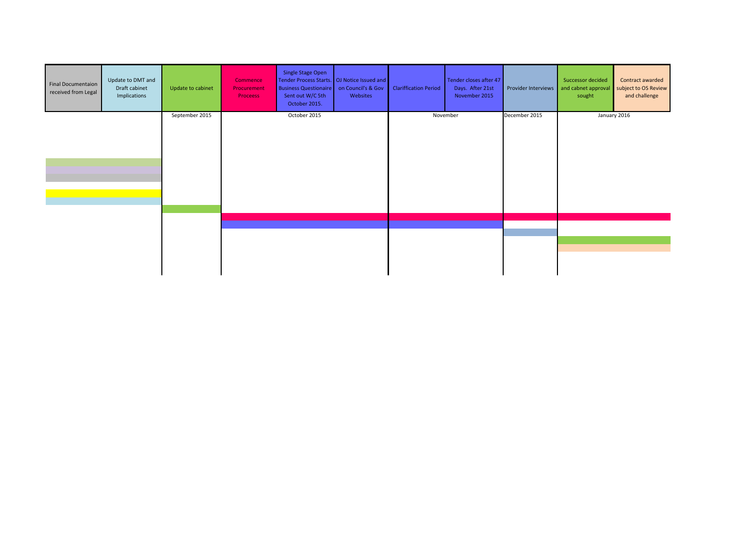| <b>Final Documentaion</b><br>received from Legal | Update to DMT and<br>Draft cabinet<br>Implications | Update to cabinet | Commence<br>Procurement<br><b>Proceess</b> | Single Stage Open<br>Tender Process Starts. OJ Notice Issued and<br><b>Business Questionaire</b><br>Sent out W/C 5th<br>October 2015. | on Council's & Gov<br>Websites | <b>Clariffication Period</b> | Tender closes after 47<br>Days. After 21st<br>November 2015 | Provider Interviews | Successor decided<br>and cabnet approval<br>sought | Contract awarded<br>subject to OS Review<br>and challenge |
|--------------------------------------------------|----------------------------------------------------|-------------------|--------------------------------------------|---------------------------------------------------------------------------------------------------------------------------------------|--------------------------------|------------------------------|-------------------------------------------------------------|---------------------|----------------------------------------------------|-----------------------------------------------------------|
|                                                  |                                                    | September 2015    |                                            | October 2015                                                                                                                          |                                |                              | November                                                    | December 2015       |                                                    | January 2016                                              |
|                                                  |                                                    |                   |                                            |                                                                                                                                       |                                |                              |                                                             |                     |                                                    |                                                           |